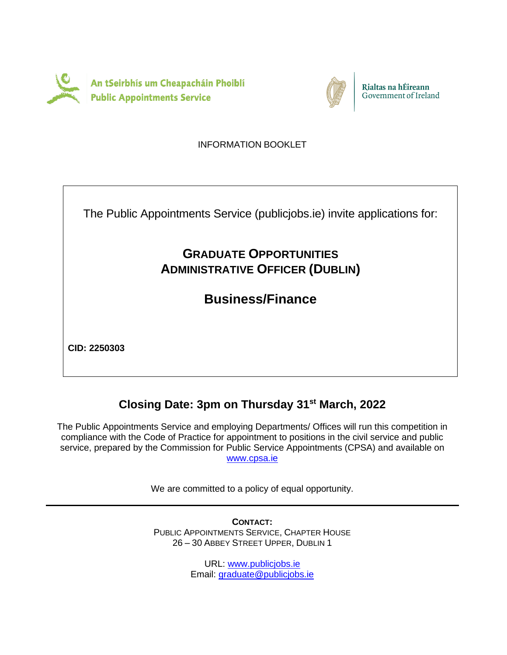



Rialtas na hÉireann Government of Ireland

INFORMATION BOOKLET

The Public Appointments Service (publicjobs.ie) invite applications for:

# **GRADUATE OPPORTUNITIES ADMINISTRATIVE OFFICER (DUBLIN)**

**Business/Finance**

**CID: 2250303**

# **Closing Date: 3pm on Thursday 31st March, 2022**

The Public Appointments Service and employing Departments/ Offices will run this competition in compliance with the Code of Practice for appointment to positions in the civil service and public service, prepared by the Commission for Public Service Appointments (CPSA) and available on [www.cpsa.ie](http://www.cpsa-online.ie/)

We are committed to a policy of equal opportunity.

**CONTACT:** PUBLIC APPOINTMENTS SERVICE, CHAPTER HOUSE 26 – 30 ABBEY STREET UPPER, DUBLIN 1

> URL: [www.publicjobs.ie](http://www.publicjobs.ie/) Email: [graduate@publicjobs.ie](mailto:graduate@publicjobs.ie)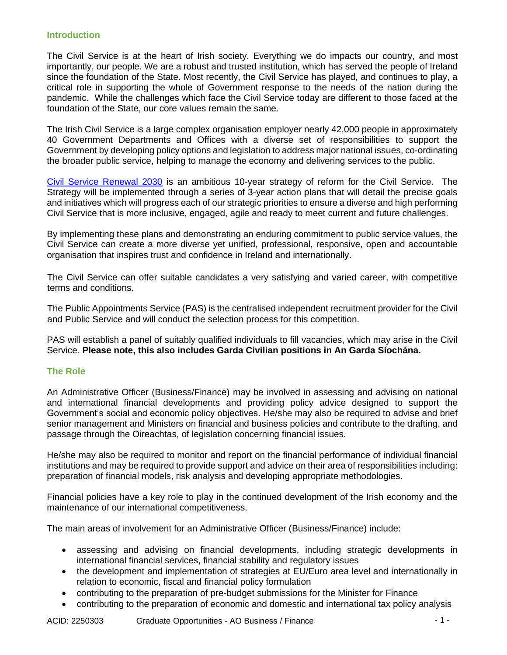#### **Introduction**

The Civil Service is at the heart of Irish society. Everything we do impacts our country, and most importantly, our people. We are a robust and trusted institution, which has served the people of Ireland since the foundation of the State. Most recently, the Civil Service has played, and continues to play, a critical role in supporting the whole of Government response to the needs of the nation during the pandemic. While the challenges which face the Civil Service today are different to those faced at the foundation of the State, our core values remain the same.

The Irish Civil Service is a large complex organisation employer nearly 42,000 people in approximately 40 Government Departments and Offices with a diverse set of responsibilities to support the Government by developing policy options and legislation to address major national issues, co-ordinating the broader public service, helping to manage the economy and delivering services to the public.

[Civil Service Renewal 2030](https://www.gov.ie/en/publication/efd7f-civil-service-renewal-2030/) is an ambitious 10-year strategy of reform for the Civil Service. The Strategy will be implemented through a series of 3-year action plans that will detail the precise goals and initiatives which will progress each of our strategic priorities to ensure a diverse and high performing Civil Service that is more inclusive, engaged, agile and ready to meet current and future challenges.

By implementing these plans and demonstrating an enduring commitment to public service values, the Civil Service can create a more diverse yet unified, professional, responsive, open and accountable organisation that inspires trust and confidence in Ireland and internationally.

The Civil Service can offer suitable candidates a very satisfying and varied career, with competitive terms and conditions.

The Public Appointments Service (PAS) is the centralised independent recruitment provider for the Civil and Public Service and will conduct the selection process for this competition.

PAS will establish a panel of suitably qualified individuals to fill vacancies, which may arise in the Civil Service. **Please note, this also includes Garda Civilian positions in An Garda Síochána.**

#### **The Role**

An Administrative Officer (Business/Finance) may be involved in assessing and advising on national and international financial developments and providing policy advice designed to support the Government's social and economic policy objectives. He/she may also be required to advise and brief senior management and Ministers on financial and business policies and contribute to the drafting, and passage through the Oireachtas, of legislation concerning financial issues.

He/she may also be required to monitor and report on the financial performance of individual financial institutions and may be required to provide support and advice on their area of responsibilities including: preparation of financial models, risk analysis and developing appropriate methodologies.

Financial policies have a key role to play in the continued development of the Irish economy and the maintenance of our international competitiveness.

The main areas of involvement for an Administrative Officer (Business/Finance) include:

- assessing and advising on financial developments, including strategic developments in international financial services, financial stability and regulatory issues
- the development and implementation of strategies at EU/Euro area level and internationally in relation to economic, fiscal and financial policy formulation
- contributing to the preparation of pre-budget submissions for the Minister for Finance
- contributing to the preparation of economic and domestic and international tax policy analysis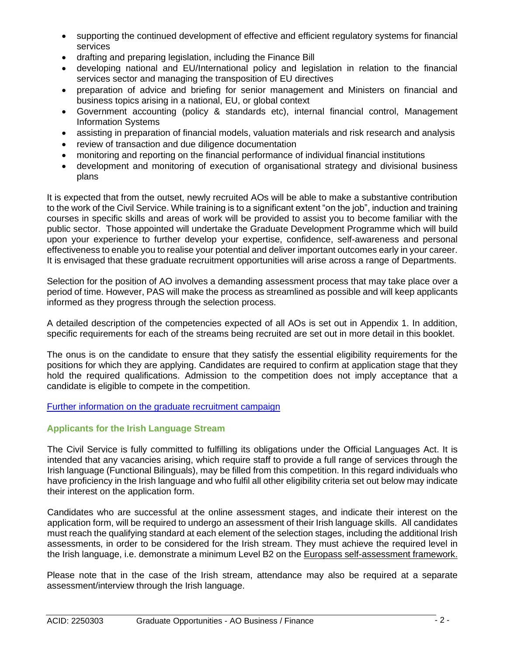- supporting the continued development of effective and efficient regulatory systems for financial services
- drafting and preparing legislation, including the Finance Bill
- developing national and EU/International policy and legislation in relation to the financial services sector and managing the transposition of EU directives
- preparation of advice and briefing for senior management and Ministers on financial and business topics arising in a national, EU, or global context
- Government accounting (policy & standards etc), internal financial control, Management Information Systems
- assisting in preparation of financial models, valuation materials and risk research and analysis
- review of transaction and due diligence documentation
- monitoring and reporting on the financial performance of individual financial institutions
- development and monitoring of execution of organisational strategy and divisional business plans

It is expected that from the outset, newly recruited AOs will be able to make a substantive contribution to the work of the Civil Service. While training is to a significant extent "on the job", induction and training courses in specific skills and areas of work will be provided to assist you to become familiar with the public sector. Those appointed will undertake the Graduate Development Programme which will build upon your experience to further develop your expertise, confidence, self-awareness and personal effectiveness to enable you to realise your potential and deliver important outcomes early in your career. It is envisaged that these graduate recruitment opportunities will arise across a range of Departments.

Selection for the position of AO involves a demanding assessment process that may take place over a period of time. However, PAS will make the process as streamlined as possible and will keep applicants informed as they progress through the selection process.

A detailed description of the competencies expected of all AOs is set out in Appendix 1. In addition, specific requirements for each of the streams being recruited are set out in more detail in this booklet.

The onus is on the candidate to ensure that they satisfy the essential eligibility requirements for the positions for which they are applying. Candidates are required to confirm at application stage that they hold the required qualifications. Admission to the competition does not imply acceptance that a candidate is eligible to compete in the competition.

# [Further information on the graduate recruitment campaign](https://www.publicjobs.ie/en/graduate-opportunities/business-and-finance-2022)

# **Applicants for the Irish Language Stream**

The Civil Service is fully committed to fulfilling its obligations under the Official Languages Act. It is intended that any vacancies arising, which require staff to provide a full range of services through the Irish language (Functional Bilinguals), may be filled from this competition. In this regard individuals who have proficiency in the Irish language and who fulfil all other eligibility criteria set out below may indicate their interest on the application form.

Candidates who are successful at the online assessment stages, and indicate their interest on the application form, will be required to undergo an assessment of their Irish language skills. All candidates must reach the qualifying standard at each element of the selection stages, including the additional Irish assessments, in order to be considered for the Irish stream. They must achieve the required level in the Irish language, i.e. demonstrate a minimum Level B2 on the [Europass self-assessment framework.](http://www.publicjobs.ie/publicjobs/publication/document/Self_Assessment_Framework.pdf)

Please note that in the case of the Irish stream, attendance may also be required at a separate assessment/interview through the Irish language.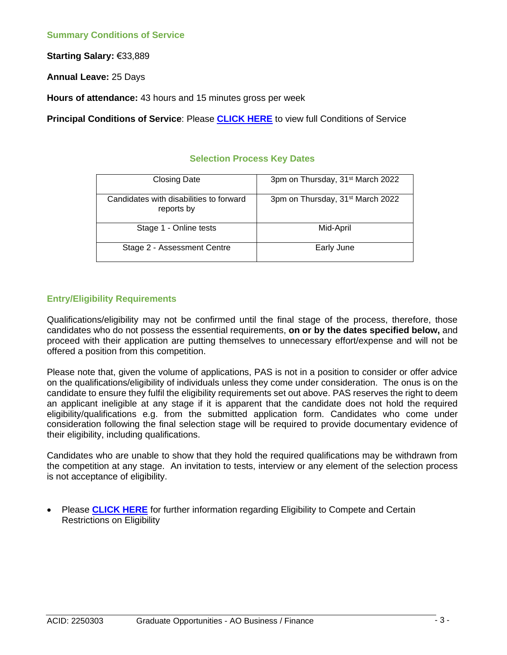**Starting Salary: €33,889** 

**Annual Leave:** 25 Days

**Hours of attendance:** 43 hours and 15 minutes gross per week

**Principal Conditions of Service**: Please **[CLICK HERE](https://www.publicjobs.ie/restapi/documents/1_AO_BF_Principal_Conditions_Service_2022.pdf)** to view full Conditions of Service

#### **Selection Process Key Dates**

| <b>Closing Date</b>                                   | 3pm on Thursday, 31 <sup>st</sup> March 2022 |
|-------------------------------------------------------|----------------------------------------------|
| Candidates with disabilities to forward<br>reports by | 3pm on Thursday, 31 <sup>st</sup> March 2022 |
| Stage 1 - Online tests                                | Mid-April                                    |
| Stage 2 - Assessment Centre                           | Early June                                   |

## **Entry/Eligibility Requirements**

Qualifications/eligibility may not be confirmed until the final stage of the process, therefore, those candidates who do not possess the essential requirements, **on or by the dates specified below,** and proceed with their application are putting themselves to unnecessary effort/expense and will not be offered a position from this competition.

Please note that, given the volume of applications, PAS is not in a position to consider or offer advice on the qualifications/eligibility of individuals unless they come under consideration. The onus is on the candidate to ensure they fulfil the eligibility requirements set out above. PAS reserves the right to deem an applicant ineligible at any stage if it is apparent that the candidate does not hold the required eligibility/qualifications e.g. from the submitted application form. Candidates who come under consideration following the final selection stage will be required to provide documentary evidence of their eligibility, including qualifications.

Candidates who are unable to show that they hold the required qualifications may be withdrawn from the competition at any stage. An invitation to tests, interview or any element of the selection process is not acceptance of eligibility.

• Please **[CLICK HERE](https://www.publicjobs.ie/restapi/documents/2_AO_BF_Health_Character_2022.pdf)** for further information regarding Eligibility to Compete and Certain Restrictions on Eligibility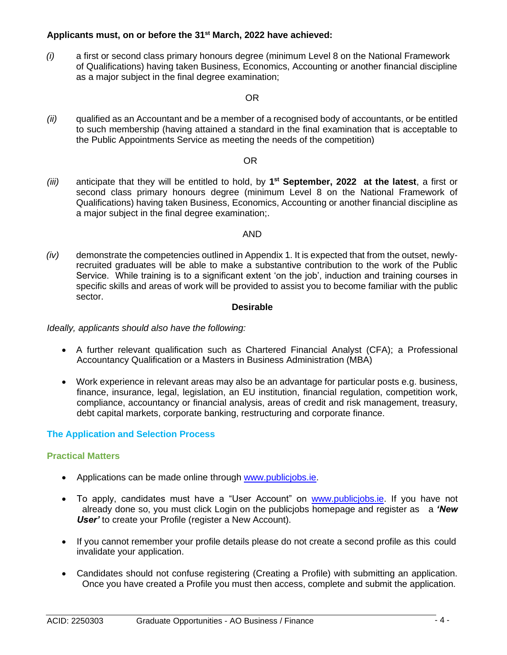#### **Applicants must, on or before the 31st March, 2022 have achieved:**

*(i)* a first or second class primary honours degree (minimum Level 8 on the National Framework of Qualifications) having taken Business, Economics, Accounting or another financial discipline as a major subject in the final degree examination;

#### OR

*(ii)* qualified as an Accountant and be a member of a recognised body of accountants, or be entitled to such membership (having attained a standard in the final examination that is acceptable to the Public Appointments Service as meeting the needs of the competition)

#### OR

*(iii)* anticipate that they will be entitled to hold, by 1<sup>st</sup> September, 2022 at the latest, a first or second class primary honours degree (minimum Level 8 on the National Framework of Qualifications) having taken Business, Economics, Accounting or another financial discipline as a major subject in the final degree examination;.

#### AND

*(iv)* demonstrate the competencies outlined in Appendix 1. It is expected that from the outset, newlyrecruited graduates will be able to make a substantive contribution to the work of the Public Service. While training is to a significant extent 'on the job', induction and training courses in specific skills and areas of work will be provided to assist you to become familiar with the public sector.

#### **Desirable**

*Ideally, applicants should also have the following:*

- A further relevant qualification such as Chartered Financial Analyst (CFA); a Professional Accountancy Qualification or a Masters in Business Administration (MBA)
- Work experience in relevant areas may also be an advantage for particular posts e.g. business, finance, insurance, legal, legislation, an EU institution, financial regulation, competition work, compliance, accountancy or financial analysis, areas of credit and risk management, treasury, debt capital markets, corporate banking, restructuring and corporate finance.

#### **The Application and Selection Process**

#### **Practical Matters**

- Applications can be made online through [www.publicjobs.ie.](http://www.publicjobs.ie/)
- To apply, candidates must have a "User Account" on [www.publicjobs.ie.](http://www.publicjobs.ie/) If you have not already done so, you must click Login on the publicjobs homepage and register as a *'New User'* to create your Profile (register a New Account).
- If you cannot remember your profile details please do not create a second profile as this could invalidate your application.
- Candidates should not confuse registering (Creating a Profile) with submitting an application. Once you have created a Profile you must then access, complete and submit the application.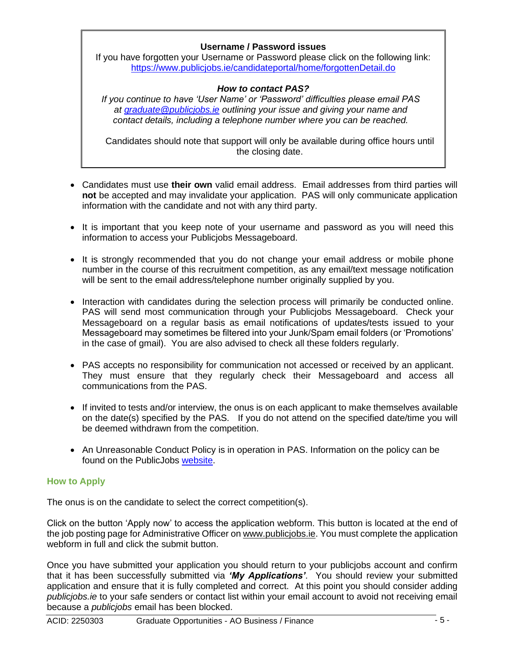# **Username / Password issues**

If you have forgotten your Username or Password please click on the following link: <https://www.publicjobs.ie/candidateportal/home/forgottenDetail.do>

## *How to contact PAS?*

*If you continue to have 'User Name' or 'Password' difficulties please email PAS at [graduate@publicjobs.ie](mailto:graduate@publicjobs.ie) outlining your issue and giving your name and contact details, including a telephone number where you can be reached.*

Candidates should note that support will only be available during office hours until the closing date.

- Candidates must use **their own** valid email address. Email addresses from third parties will **not** be accepted and may invalidate your application. PAS will only communicate application information with the candidate and not with any third party.
- It is important that you keep note of your username and password as you will need this information to access your Publicjobs Messageboard.
- It is strongly recommended that you do not change your email address or mobile phone number in the course of this recruitment competition, as any email/text message notification will be sent to the email address/telephone number originally supplied by you.
- Interaction with candidates during the selection process will primarily be conducted online. PAS will send most communication through your Publicjobs Messageboard. Check your Messageboard on a regular basis as email notifications of updates/tests issued to your Messageboard may sometimes be filtered into your Junk/Spam email folders (or 'Promotions' in the case of gmail). You are also advised to check all these folders regularly.
- PAS accepts no responsibility for communication not accessed or received by an applicant. They must ensure that they regularly check their Messageboard and access all communications from the PAS.
- If invited to tests and/or interview, the onus is on each applicant to make themselves available on the date(s) specified by the PAS. If you do not attend on the specified date/time you will be deemed withdrawn from the competition.
- An Unreasonable Conduct Policy is in operation in PAS. Information on the policy can be found on the PublicJobs [website.](https://www.publicjobs.ie/documents/Unreasonable_Conduct_Policy.pdf)

#### **How to Apply**

The onus is on the candidate to select the correct competition(s).

Click on the button 'Apply now' to access the application webform. This button is located at the end of the job posting page for Administrative Officer o[n www.publicjobs.ie.](http://www.publicjobs.ie/) You must complete the application webform in full and click the submit button.

Once you have submitted your application you should return to your publicjobs account and confirm that it has been successfully submitted via *'My Applications'*. You should review your submitted application and ensure that it is fully completed and correct. At this point you should consider adding *publicjobs.ie* to your safe senders or contact list within your email account to avoid not receiving email because a *publicjobs* email has been blocked.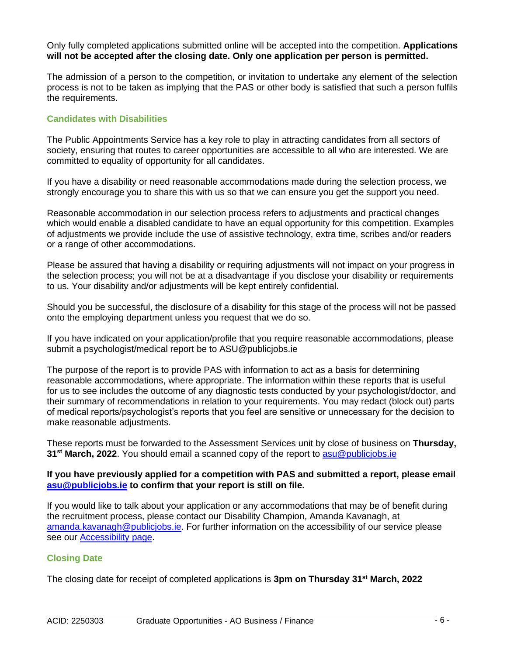Only fully completed applications submitted online will be accepted into the competition. **Applications will not be accepted after the closing date. Only one application per person is permitted.**

The admission of a person to the competition, or invitation to undertake any element of the selection process is not to be taken as implying that the PAS or other body is satisfied that such a person fulfils the requirements.

# **Candidates with Disabilities**

The Public Appointments Service has a key role to play in attracting candidates from all sectors of society, ensuring that routes to career opportunities are accessible to all who are interested. We are committed to equality of opportunity for all candidates.

If you have a disability or need reasonable accommodations made during the selection process, we strongly encourage you to share this with us so that we can ensure you get the support you need.

Reasonable accommodation in our selection process refers to adjustments and practical changes which would enable a disabled candidate to have an equal opportunity for this competition. Examples of adjustments we provide include the use of assistive technology, extra time, scribes and/or readers or a range of other accommodations.

Please be assured that having a disability or requiring adjustments will not impact on your progress in the selection process; you will not be at a disadvantage if you disclose your disability or requirements to us. Your disability and/or adjustments will be kept entirely confidential.

Should you be successful, the disclosure of a disability for this stage of the process will not be passed onto the employing department unless you request that we do so.

If you have indicated on your application/profile that you require reasonable accommodations, please submit a psychologist/medical report be to ASU@publicjobs.ie

The purpose of the report is to provide PAS with information to act as a basis for determining reasonable accommodations, where appropriate. The information within these reports that is useful for us to see includes the outcome of any diagnostic tests conducted by your psychologist/doctor, and their summary of recommendations in relation to your requirements. You may redact (block out) parts of medical reports/psychologist's reports that you feel are sensitive or unnecessary for the decision to make reasonable adjustments.

These reports must be forwarded to the Assessment Services unit by close of business on **Thursday, 31st March, 2022**. You should email a scanned copy of the report to [asu@publicjobs.ie](mailto:asu@publicjobs.ie)

#### **If you have previously applied for a competition with PAS and submitted a report, please email [asu@publicjobs.ie](mailto:asu@publicjobs.ie) to confirm that your report is still on file.**

If you would like to talk about your application or any accommodations that may be of benefit during the recruitment process, please contact our Disability Champion, Amanda Kavanagh, at [amanda.kavanagh@publicjobs.ie.](mailto:amanda.kavanagh@publicjobs.ie) For further information on the accessibility of our service please see our [Accessibility page.](https://eur01.safelinks.protection.outlook.com/?url=https%3A%2F%2Fwww.publicjobs.ie%2Fen%2Faccessibility&data=04%7C01%7Csarah.dixon%40publicjobs.ie%7Cd6c4871e1ac44dda825008d8f043f277%7Ca9af99bb56b548cfab283e3d6fd6aed5%7C0%7C0%7C637523521912726302%7CUnknown%7CTWFpbGZsb3d8eyJWIjoiMC4wLjAwMDAiLCJQIjoiV2luMzIiLCJBTiI6Ik1haWwiLCJXVCI6Mn0%3D%7C1000&sdata=%2BWD0QvwyuWGC%2BdjA4EodY1WiTbAtLokUHTW7cwwVslY%3D&reserved=0)

#### **Closing Date**

The closing date for receipt of completed applications is **3pm on Thursday 31st March, 2022**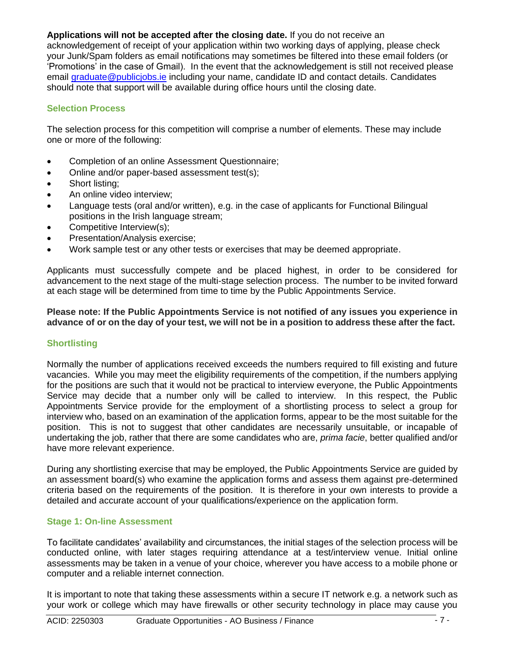## **Applications will not be accepted after the closing date.** If you do not receive an

acknowledgement of receipt of your application within two working days of applying, please check your Junk/Spam folders as email notifications may sometimes be filtered into these email folders (or 'Promotions' in the case of Gmail). In the event that the acknowledgement is still not received please email [graduate@publicjobs.ie](mailto:graduate@publicjobs.ie) including your name, candidate ID and contact details. Candidates should note that support will be available during office hours until the closing date.

#### **Selection Process**

The selection process for this competition will comprise a number of elements. These may include one or more of the following:

- Completion of an online Assessment Questionnaire;
- Online and/or paper-based assessment test(s);
- Short listing;
- An online video interview;
- Language tests (oral and/or written), e.g. in the case of applicants for Functional Bilingual positions in the Irish language stream;
- Competitive Interview(s);
- Presentation/Analysis exercise;
- Work sample test or any other tests or exercises that may be deemed appropriate.

Applicants must successfully compete and be placed highest, in order to be considered for advancement to the next stage of the multi-stage selection process. The number to be invited forward at each stage will be determined from time to time by the Public Appointments Service.

**Please note: If the Public Appointments Service is not notified of any issues you experience in advance of or on the day of your test, we will not be in a position to address these after the fact.**

# **Shortlisting**

Normally the number of applications received exceeds the numbers required to fill existing and future vacancies. While you may meet the eligibility requirements of the competition, if the numbers applying for the positions are such that it would not be practical to interview everyone, the Public Appointments Service may decide that a number only will be called to interview. In this respect, the Public Appointments Service provide for the employment of a shortlisting process to select a group for interview who, based on an examination of the application forms, appear to be the most suitable for the position. This is not to suggest that other candidates are necessarily unsuitable, or incapable of undertaking the job, rather that there are some candidates who are, *prima facie*, better qualified and/or have more relevant experience.

During any shortlisting exercise that may be employed, the Public Appointments Service are guided by an assessment board(s) who examine the application forms and assess them against pre-determined criteria based on the requirements of the position. It is therefore in your own interests to provide a detailed and accurate account of your qualifications/experience on the application form.

#### **Stage 1: On-line Assessment**

To facilitate candidates' availability and circumstances, the initial stages of the selection process will be conducted online, with later stages requiring attendance at a test/interview venue. Initial online assessments may be taken in a venue of your choice, wherever you have access to a mobile phone or computer and a reliable internet connection.

It is important to note that taking these assessments within a secure IT network e.g. a network such as your work or college which may have firewalls or other security technology in place may cause you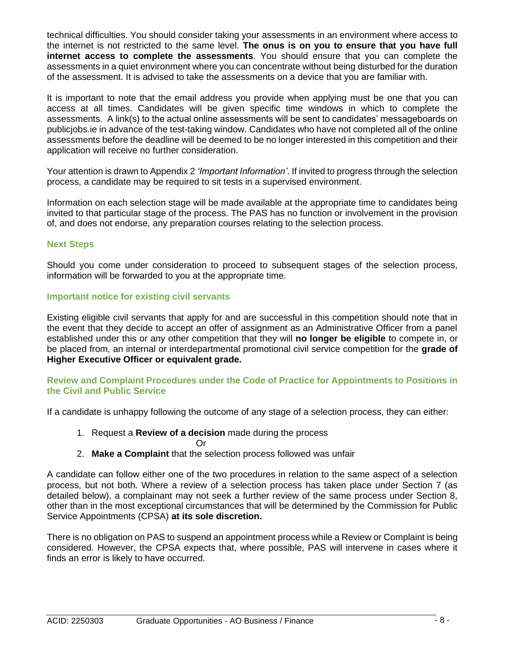technical difficulties. You should consider taking your assessments in an environment where access to the internet is not restricted to the same level. **The onus is on you to ensure that you have full internet access to complete the assessments**. You should ensure that you can complete the assessments in a quiet environment where you can concentrate without being disturbed for the duration of the assessment. It is advised to take the assessments on a device that you are familiar with.

It is important to note that the email address you provide when applying must be one that you can access at all times. Candidates will be given specific time windows in which to complete the assessments. A link(s) to the actual online assessments will be sent to candidates' messageboards on publicjobs.ie in advance of the test-taking window. Candidates who have not completed all of the online assessments before the deadline will be deemed to be no longer interested in this competition and their application will receive no further consideration.

Your attention is drawn to Appendix 2 *'Important Information'*. If invited to progress through the selection process, a candidate may be required to sit tests in a supervised environment.

Information on each selection stage will be made available at the appropriate time to candidates being invited to that particular stage of the process. The PAS has no function or involvement in the provision of, and does not endorse, any preparation courses relating to the selection process.

#### **Next Steps**

Should you come under consideration to proceed to subsequent stages of the selection process, information will be forwarded to you at the appropriate time.

#### **Important notice for existing civil servants**

Existing eligible civil servants that apply for and are successful in this competition should note that in the event that they decide to accept an offer of assignment as an Administrative Officer from a panel established under this or any other competition that they will **no longer be eligible** to compete in, or be placed from, an internal or interdepartmental promotional civil service competition for the **grade of Higher Executive Officer or equivalent grade.**

#### **Review and Complaint Procedures under the Code of Practice for Appointments to Positions in the Civil and Public Service**

If a candidate is unhappy following the outcome of any stage of a selection process, they can either:

- 1. Request a **Review of a decision** made during the process
	- Or
- 2. **Make a Complaint** that the selection process followed was unfair

A candidate can follow either one of the two procedures in relation to the same aspect of a selection process, but not both. Where a review of a selection process has taken place under Section 7 (as detailed below), a complainant may not seek a further review of the same process under Section 8, other than in the most exceptional circumstances that will be determined by the Commission for Public Service Appointments (CPSA) **at its sole discretion.**

There is no obligation on PAS to suspend an appointment process while a Review or Complaint is being considered. However, the CPSA expects that, where possible, PAS will intervene in cases where it finds an error is likely to have occurred.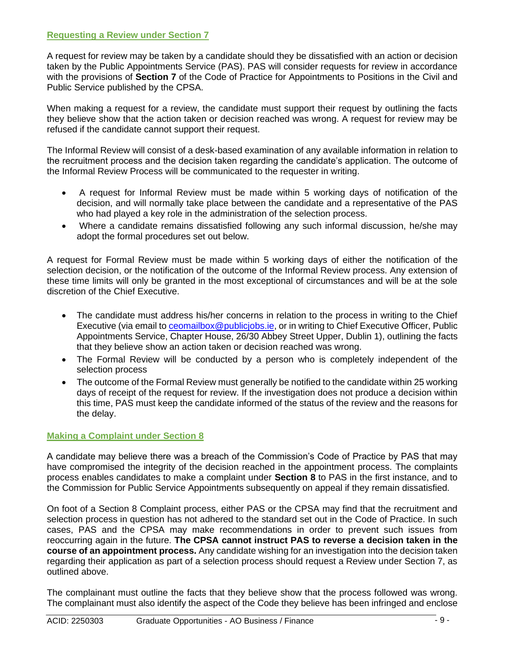## **Requesting a Review under Section 7**

A request for review may be taken by a candidate should they be dissatisfied with an action or decision taken by the Public Appointments Service (PAS). PAS will consider requests for review in accordance with the provisions of **Section 7** of the Code of Practice for Appointments to Positions in the Civil and Public Service published by the CPSA.

When making a request for a review, the candidate must support their request by outlining the facts they believe show that the action taken or decision reached was wrong. A request for review may be refused if the candidate cannot support their request.

The Informal Review will consist of a desk-based examination of any available information in relation to the recruitment process and the decision taken regarding the candidate's application. The outcome of the Informal Review Process will be communicated to the requester in writing.

- A request for Informal Review must be made within 5 working days of notification of the decision, and will normally take place between the candidate and a representative of the PAS who had played a key role in the administration of the selection process.
- Where a candidate remains dissatisfied following any such informal discussion, he/she may adopt the formal procedures set out below.

A request for Formal Review must be made within 5 working days of either the notification of the selection decision, or the notification of the outcome of the Informal Review process. Any extension of these time limits will only be granted in the most exceptional of circumstances and will be at the sole discretion of the Chief Executive.

- The candidate must address his/her concerns in relation to the process in writing to the Chief Executive (via email to **ceomailbox@publiciobs.ie**, or in writing to Chief Executive Officer, Public Appointments Service, Chapter House, 26/30 Abbey Street Upper, Dublin 1), outlining the facts that they believe show an action taken or decision reached was wrong.
- The Formal Review will be conducted by a person who is completely independent of the selection process
- The outcome of the Formal Review must generally be notified to the candidate within 25 working days of receipt of the request for review. If the investigation does not produce a decision within this time, PAS must keep the candidate informed of the status of the review and the reasons for the delay.

# **Making a Complaint under Section 8**

A candidate may believe there was a breach of the Commission's Code of Practice by PAS that may have compromised the integrity of the decision reached in the appointment process. The complaints process enables candidates to make a complaint under **Section 8** to PAS in the first instance, and to the Commission for Public Service Appointments subsequently on appeal if they remain dissatisfied.

On foot of a Section 8 Complaint process, either PAS or the CPSA may find that the recruitment and selection process in question has not adhered to the standard set out in the Code of Practice. In such cases, PAS and the CPSA may make recommendations in order to prevent such issues from reoccurring again in the future. **The CPSA cannot instruct PAS to reverse a decision taken in the course of an appointment process.** Any candidate wishing for an investigation into the decision taken regarding their application as part of a selection process should request a Review under Section 7, as outlined above.

The complainant must outline the facts that they believe show that the process followed was wrong. The complainant must also identify the aspect of the Code they believe has been infringed and enclose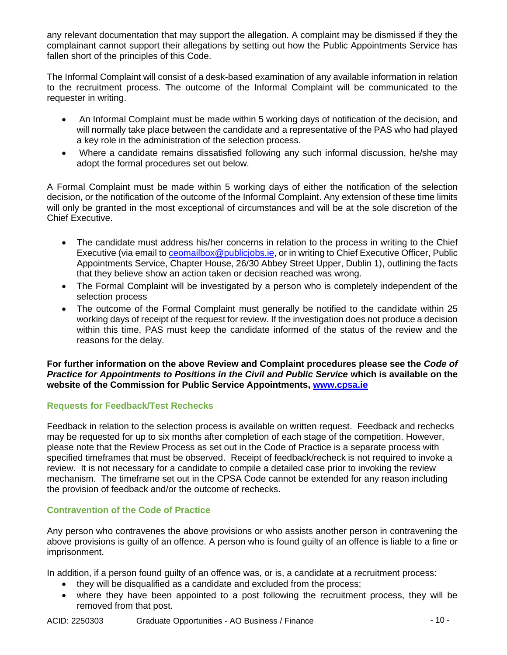any relevant documentation that may support the allegation. A complaint may be dismissed if they the complainant cannot support their allegations by setting out how the Public Appointments Service has fallen short of the principles of this Code.

The Informal Complaint will consist of a desk-based examination of any available information in relation to the recruitment process. The outcome of the Informal Complaint will be communicated to the requester in writing.

- An Informal Complaint must be made within 5 working days of notification of the decision, and will normally take place between the candidate and a representative of the PAS who had played a key role in the administration of the selection process.
- Where a candidate remains dissatisfied following any such informal discussion, he/she may adopt the formal procedures set out below.

A Formal Complaint must be made within 5 working days of either the notification of the selection decision, or the notification of the outcome of the Informal Complaint. Any extension of these time limits will only be granted in the most exceptional of circumstances and will be at the sole discretion of the Chief Executive.

- The candidate must address his/her concerns in relation to the process in writing to the Chief Executive (via email to [ceomailbox@publicjobs.ie,](mailto:ceomailbox@publicjobs.ie) or in writing to Chief Executive Officer, Public Appointments Service, Chapter House, 26/30 Abbey Street Upper, Dublin 1), outlining the facts that they believe show an action taken or decision reached was wrong.
- The Formal Complaint will be investigated by a person who is completely independent of the selection process
- The outcome of the Formal Complaint must generally be notified to the candidate within 25 working days of receipt of the request for review. If the investigation does not produce a decision within this time, PAS must keep the candidate informed of the status of the review and the reasons for the delay.

#### **For further information on the above Review and Complaint procedures please see the** *Code of Practice for Appointments to Positions in the Civil and Public Service* **which is available on the website of the Commission for Public Service Appointments, [www.cpsa.ie](http://www.cpsa.ie/)**

# **Requests for Feedback/Test Rechecks**

Feedback in relation to the selection process is available on written request. Feedback and rechecks may be requested for up to six months after completion of each stage of the competition. However, please note that the Review Process as set out in the Code of Practice is a separate process with specified timeframes that must be observed. Receipt of feedback/recheck is not required to invoke a review. It is not necessary for a candidate to compile a detailed case prior to invoking the review mechanism. The timeframe set out in the CPSA Code cannot be extended for any reason including the provision of feedback and/or the outcome of rechecks.

# **Contravention of the Code of Practice**

Any person who contravenes the above provisions or who assists another person in contravening the above provisions is guilty of an offence. A person who is found guilty of an offence is liable to a fine or imprisonment.

In addition, if a person found guilty of an offence was, or is, a candidate at a recruitment process:

- they will be disqualified as a candidate and excluded from the process;
- where they have been appointed to a post following the recruitment process, they will be removed from that post.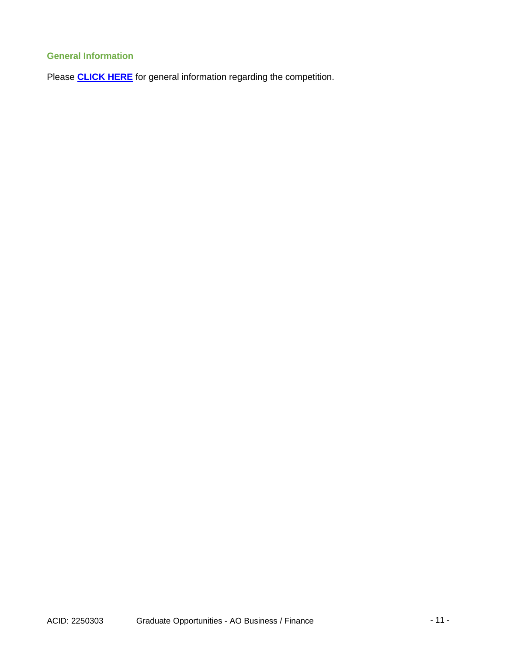# **General Information**

Please **[CLICK HERE](https://www.publicjobs.ie/restapi/documents/3_AO_BF_General_Information_2022.pdf)** for general information regarding the competition.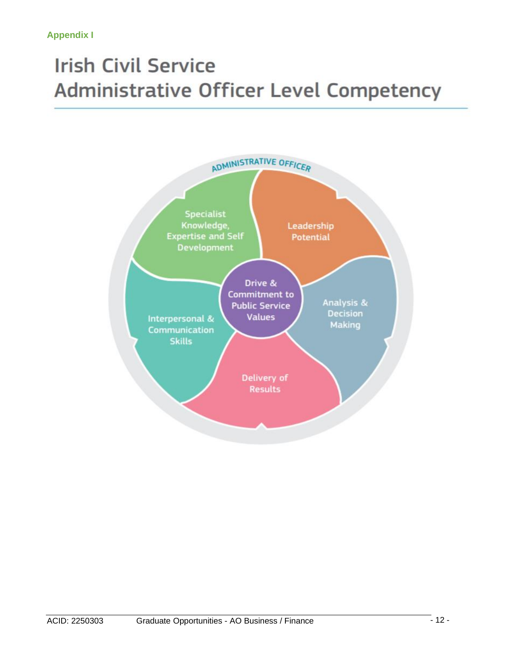# **Irish Civil Service Administrative Officer Level Competency**

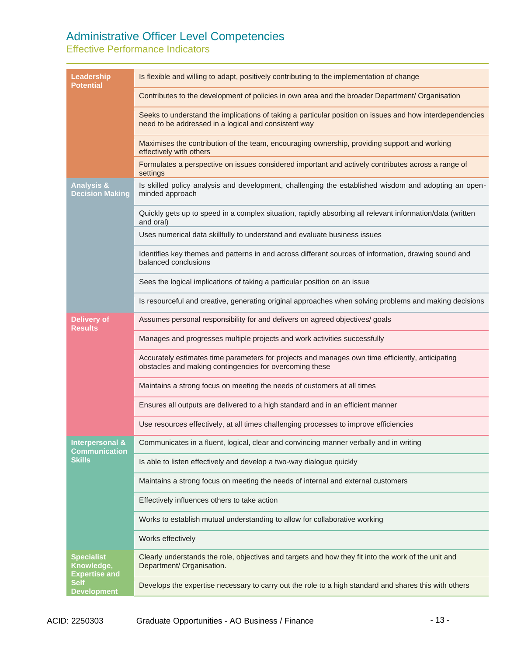# Administrative Officer Level Competencies

Effective Performance Indicators

| Leadership<br>Potential                                                                      | Is flexible and willing to adapt, positively contributing to the implementation of change                                                                        |
|----------------------------------------------------------------------------------------------|------------------------------------------------------------------------------------------------------------------------------------------------------------------|
|                                                                                              | Contributes to the development of policies in own area and the broader Department/ Organisation                                                                  |
|                                                                                              | Seeks to understand the implications of taking a particular position on issues and how interdependencies<br>need to be addressed in a logical and consistent way |
|                                                                                              | Maximises the contribution of the team, encouraging ownership, providing support and working<br>effectively with others                                          |
|                                                                                              | Formulates a perspective on issues considered important and actively contributes across a range of<br>settings                                                   |
| <b>Analysis &amp;</b><br><b>Decision Making</b>                                              | Is skilled policy analysis and development, challenging the established wisdom and adopting an open-<br>minded approach                                          |
|                                                                                              | Quickly gets up to speed in a complex situation, rapidly absorbing all relevant information/data (written<br>and oral)                                           |
|                                                                                              | Uses numerical data skillfully to understand and evaluate business issues                                                                                        |
|                                                                                              | Identifies key themes and patterns in and across different sources of information, drawing sound and<br>balanced conclusions                                     |
|                                                                                              | Sees the logical implications of taking a particular position on an issue                                                                                        |
|                                                                                              | Is resourceful and creative, generating original approaches when solving problems and making decisions                                                           |
| Delivery of<br>Results                                                                       | Assumes personal responsibility for and delivers on agreed objectives/ goals                                                                                     |
|                                                                                              | Manages and progresses multiple projects and work activities successfully                                                                                        |
|                                                                                              | Accurately estimates time parameters for projects and manages own time efficiently, anticipating<br>obstacles and making contingencies for overcoming these      |
|                                                                                              | Maintains a strong focus on meeting the needs of customers at all times                                                                                          |
|                                                                                              | Ensures all outputs are delivered to a high standard and in an efficient manner                                                                                  |
|                                                                                              | Use resources effectively, at all times challenging processes to improve efficiencies                                                                            |
| Interpersonal &<br><b>Communication</b><br><b>Skills</b>                                     | Communicates in a fluent, logical, clear and convincing manner verbally and in writing                                                                           |
|                                                                                              | Is able to listen effectively and develop a two-way dialogue quickly                                                                                             |
|                                                                                              | Maintains a strong focus on meeting the needs of internal and external customers                                                                                 |
|                                                                                              | Effectively influences others to take action                                                                                                                     |
|                                                                                              | Works to establish mutual understanding to allow for collaborative working                                                                                       |
|                                                                                              | Works effectively                                                                                                                                                |
| <b>Specialist</b><br>Knowledge,<br><b>Expertise and</b><br><b>Self</b><br><b>Development</b> | Clearly understands the role, objectives and targets and how they fit into the work of the unit and<br>Department/ Organisation.                                 |
|                                                                                              | Develops the expertise necessary to carry out the role to a high standard and shares this with others                                                            |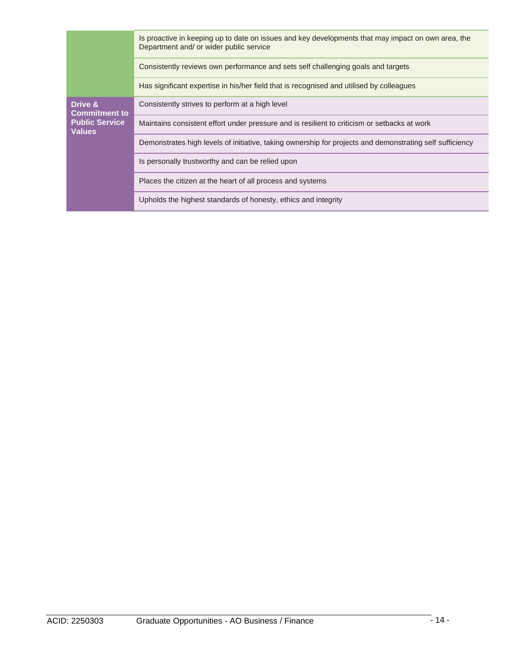|                                                                           | Is proactive in keeping up to date on issues and key developments that may impact on own area, the<br>Department and/ or wider public service |
|---------------------------------------------------------------------------|-----------------------------------------------------------------------------------------------------------------------------------------------|
|                                                                           | Consistently reviews own performance and sets self challenging goals and targets                                                              |
|                                                                           | Has significant expertise in his/her field that is recognised and utilised by colleagues                                                      |
| Drive &<br><b>Commitment to</b><br><b>Public Service</b><br><b>Values</b> | Consistently strives to perform at a high level                                                                                               |
|                                                                           | Maintains consistent effort under pressure and is resilient to criticism or setbacks at work                                                  |
|                                                                           | Demonstrates high levels of initiative, taking ownership for projects and demonstrating self sufficiency                                      |
|                                                                           | Is personally trustworthy and can be relied upon                                                                                              |
|                                                                           | Places the citizen at the heart of all process and systems                                                                                    |
|                                                                           | Upholds the highest standards of honesty, ethics and integrity                                                                                |